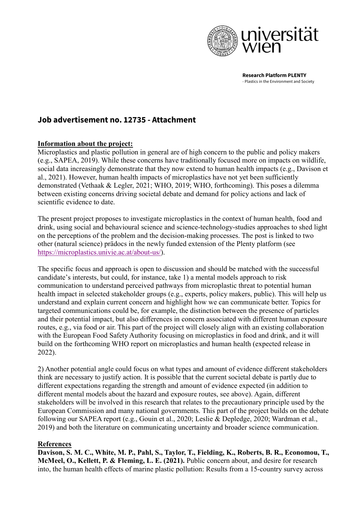

**Research Platform PLENTY**  - Plastics in the Environment and Society

## **Job advertisement no. 12735 - Attachment**

## **Information about the project:**

Microplastics and plastic pollution in general are of high concern to the public and policy makers (e.g., SAPEA, 2019). While these concerns have traditionally focused more on impacts on wildlife, social data increasingly demonstrate that they now extend to human health impacts (e.g., Davison et al., 2021). However, human health impacts of microplastics have not yet been sufficiently demonstrated (Vethaak & Legler, 2021; WHO, 2019; WHO, forthcoming). This poses a dilemma between existing concerns driving societal debate and demand for policy actions and lack of scientific evidence to date.

The present project proposes to investigate microplastics in the context of human health, food and drink, using social and behavioural science and science-technology-studies approaches to shed light on the perceptions of the problem and the decision-making processes. The post is linked to two other (natural science) prädocs in the newly funded extension of the Plenty platform (see [https://microplastics.univie.ac.at/about-us/\)](https://microplastics.univie.ac.at/about-us/).

The specific focus and approach is open to discussion and should be matched with the successful candidate's interests, but could, for instance, take 1) a mental models approach to risk communication to understand perceived pathways from microplastic threat to potential human health impact in selected stakeholder groups (e.g., experts, policy makers, public). This will help us understand and explain current concern and highlight how we can communicate better. Topics for targeted communications could be, for example, the distinction between the presence of particles and their potential impact, but also differences in concern associated with different human exposure routes, e.g., via food or air. This part of the project will closely align with an existing collaboration with the European Food Safety Authority focusing on microplastics in food and drink, and it will build on the forthcoming WHO report on microplastics and human health (expected release in 2022).

2) Another potential angle could focus on what types and amount of evidence different stakeholders think are necessary to justify action. It is possible that the current societal debate is partly due to different expectations regarding the strength and amount of evidence expected (in addition to different mental models about the hazard and exposure routes, see above). Again, different stakeholders will be involved in this research that relates to the precautionary principle used by the European Commission and many national governments. This part of the project builds on the debate following our SAPEA report (e.g., Gouin et al., 2020; Leslie & Depledge, 2020; Wardman et al., 2019) and both the literature on communicating uncertainty and broader science communication.

## **References**

**Davison, S. M. C., White, M. P., Pahl, S., Taylor, T., Fielding, K., Roberts, B. R., Economou, T., McMeel, O., Kellett, P. & Fleming, L. E. (2021).** Public concern about, and desire for research into, the human health effects of marine plastic pollution: Results from a 15-country survey across